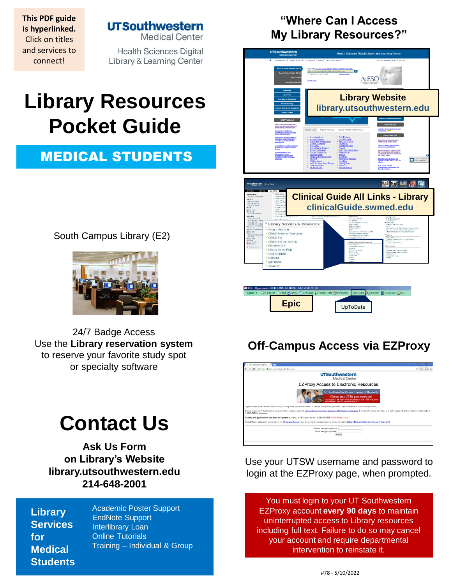**This PDF guide is hyperlinked.**  Click on titles and services to connect!

### **UTSouthwestern**

**Medical Center** 

**Health Sciences Digital** Library & Learning Center

# **Library Resources Pocket Guide**

## MEDICAL STUDENTS

South Campus Library (E2)



24/7 Badge Access Use the **[Library reservation system](https://library.utsouthwestern.edu/main/libreserve.aspx)**  to reserve your favori[te study spot](http://library.utsouthwestern.edu/links/linkUsage.cfm?linkID=7124) or specialty software

# **Contact Us**

**[Ask Us Form](http://library.utsouthwestern.edu/main/portals/jpull2.aspx?6385) on Library's Website [library.utsouthwestern.edu](http://library.utsouthwestern.edu/) 214-648-2001**

**Library Services for Medical Students** [Academic Poster Support](http://library.utsouthwestern.edu/main/portals/jpull2.aspx?8444) EndNote Support [Interlibrary Loan](http://library.utsouthwestern.edu/main/portals/jpull2.aspx?3246) [Online Tutorials](http://library.utsouthwestern.edu/main/portals/jpull2.aspx?1876) Training – [Individual & Group](http://library.utsouthwestern.edu/main/portals/jpull2.aspx?2755)

## **"Where Can I Access My Library Resources?"**



## **Off-Campus Access via EZProxy**



Use your UTSW username and password to login at the EZProxy page, when prompted.

You must login to your UT Southwestern EZProxy account **every 90 days** to maintain uninterrupted access to Library resources including full text. Failure to do so may cancel your account and require departmental intervention to reinstate it.